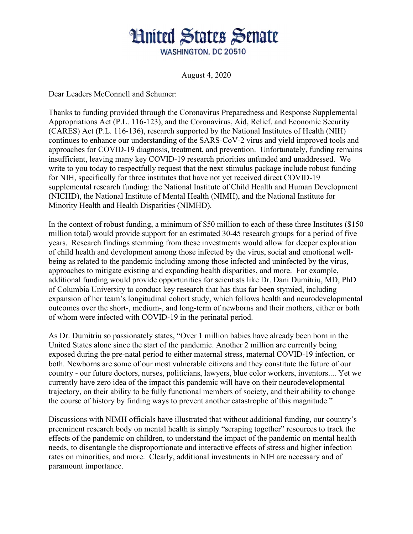## **Hnited States Senate** WASHINGTON, DC 20510

August 4, 2020

Dear Leaders McConnell and Schumer:

Thanks to funding provided through the Coronavirus Preparedness and Response Supplemental Appropriations Act (P.L. 116-123), and the Coronavirus, Aid, Relief, and Economic Security (CARES) Act (P.L. 116-136), research supported by the National Institutes of Health (NIH) continues to enhance our understanding of the SARS-CoV-2 virus and yield improved tools and approaches for COVID-19 diagnosis, treatment, and prevention. Unfortunately, funding remains insufficient, leaving many key COVID-19 research priorities unfunded and unaddressed. We write to you today to respectfully request that the next stimulus package include robust funding for NIH, specifically for three institutes that have not yet received direct COVID-19 supplemental research funding: the National Institute of Child Health and Human Development (NICHD), the National Institute of Mental Health (NIMH), and the National Institute for Minority Health and Health Disparities (NIMHD).

In the context of robust funding, a minimum of \$50 million to each of these three Institutes (\$150 million total) would provide support for an estimated 30-45 research groups for a period of five years. Research findings stemming from these investments would allow for deeper exploration of child health and development among those infected by the virus, social and emotional wellbeing as related to the pandemic including among those infected and uninfected by the virus, approaches to mitigate existing and expanding health disparities, and more. For example, additional funding would provide opportunities for scientists like Dr. Dani Dumitriu, MD, PhD of Columbia University to conduct key research that has thus far been stymied, including expansion of her team's longitudinal cohort study, which follows health and neurodevelopmental outcomes over the short-, medium-, and long-term of newborns and their mothers, either or both of whom were infected with COVID-19 in the perinatal period.

As Dr. Dumitriu so passionately states, "Over 1 million babies have already been born in the United States alone since the start of the pandemic. Another 2 million are currently being exposed during the pre-natal period to either maternal stress, maternal COVID-19 infection, or both. Newborns are some of our most vulnerable citizens and they constitute the future of our country - our future doctors, nurses, politicians, lawyers, blue color workers, inventors.... Yet we currently have zero idea of the impact this pandemic will have on their neurodevelopmental trajectory, on their ability to be fully functional members of society, and their ability to change the course of history by finding ways to prevent another catastrophe of this magnitude."

Discussions with NIMH officials have illustrated that without additional funding, our country's preeminent research body on mental health is simply "scraping together" resources to track the effects of the pandemic on children, to understand the impact of the pandemic on mental health needs, to disentangle the disproportionate and interactive effects of stress and higher infection rates on minorities, and more. Clearly, additional investments in NIH are necessary and of paramount importance.